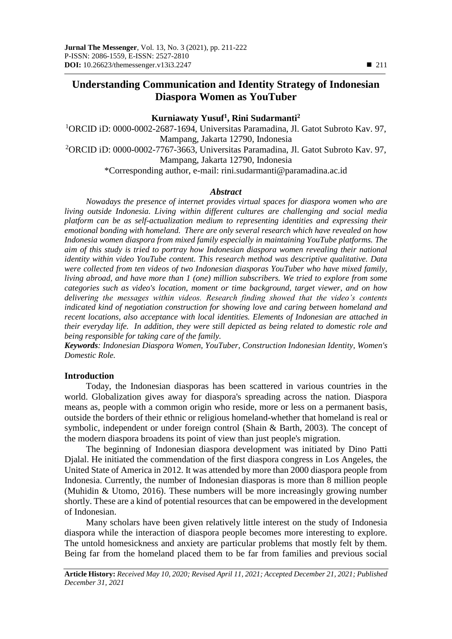# **Understanding Communication and Identity Strategy of Indonesian Diaspora Women as YouTuber**

# **Kurniawaty Yusuf<sup>1</sup> , Rini Sudarmanti<sup>2</sup>**

<sup>1</sup>ORCID iD: 0000-0002-2687-1694, Universitas Paramadina, Jl. Gatot Subroto Kav. 97, Mampang, Jakarta 12790, Indonesia <sup>2</sup>ORCID iD: 0000-0002-7767-3663, Universitas Paramadina, Jl. Gatot Subroto Kav. 97, Mampang, Jakarta 12790, Indonesia \*Corresponding author, e-mail: [rini.sudarmanti@paramadina.ac.id](mailto:rini.sudarmanti@paramadina.ac.id)

#### *Abstract*

*Nowadays the presence of internet provides virtual spaces for diaspora women who are living outside Indonesia. Living within different cultures are challenging and social media platform can be as self-actualization medium to representing identities and expressing their emotional bonding with homeland. There are only several research which have revealed on how Indonesia women diaspora from mixed family especially in maintaining YouTube platforms. The aim of this study is tried to portray how Indonesian diaspora women revealing their national identity within video YouTube content. This research method was descriptive qualitative. Data were collected from ten videos of two Indonesian diasporas YouTuber who have mixed family, living abroad, and have more than 1 (one) million subscribers. We tried to explore from some categories such as video's location, moment or time background, target viewer, and on how delivering the messages within videos. Research finding showed that the video's contents indicated kind of negotiation construction for showing love and caring between homeland and recent locations, also acceptance with local identities. Elements of Indonesian are attached in their everyday life. In addition, they were still depicted as being related to domestic role and being responsible for taking care of the family.* 

*Keywords: Indonesian Diaspora Women, YouTuber, Construction Indonesian Identity, Women's Domestic Role.*

## **Introduction**

Today, the Indonesian diasporas has been scattered in various countries in the world. Globalization gives away for diaspora's spreading across the nation. Diaspora means as, people with a common origin who reside, more or less on a permanent basis, outside the borders of their ethnic or religious homeland-whether that homeland is real or symbolic, independent or under foreign control (Shain & Barth, 2003)*.* The concept of the modern diaspora broadens its point of view than just people's migration.

The beginning of Indonesian diaspora development was initiated by Dino Patti Djalal. He initiated the commendation of the first diaspora congress in Los Angeles, the United State of America in 2012. It was attended by more than 2000 diaspora people from Indonesia. Currently, the number of Indonesian diasporas is more than 8 million people (Muhidin & Utomo, 2016). These numbers will be more increasingly growing number shortly. These are a kind of potential resources that can be empowered in the development of Indonesian.

Many scholars have been given relatively little interest on the study of Indonesia diaspora while the interaction of diaspora people becomes more interesting to explore. The untold homesickness and anxiety are particular problems that mostly felt by them. Being far from the homeland placed them to be far from families and previous social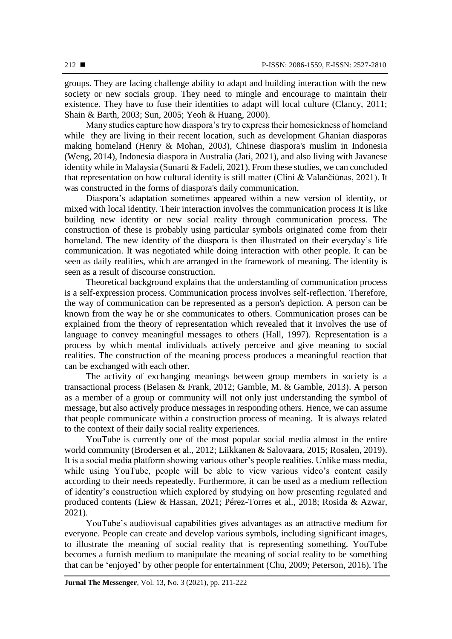groups. They are facing challenge ability to adapt and building interaction with the new society or new socials group. They need to mingle and encourage to maintain their existence. They have to fuse their identities to adapt will local culture (Clancy, 2011; Shain & Barth, 2003; Sun, 2005; Yeoh & Huang, 2000).

Many studies capture how diaspora's try to express their homesickness of homeland while they are living in their recent location, such as development Ghanian diasporas making homeland (Henry & Mohan, 2003), Chinese diaspora's muslim in Indonesia (Weng, 2014), Indonesia diaspora in Australia (Jati, 2021), and also living with Javanese identity while in Malaysia (Sunarti & Fadeli, 2021). From these studies, we can concluded that representation on how cultural identity is still matter (Clini & Valančiūnas, 2021). It was constructed in the forms of diaspora's daily communication.

Diaspora's adaptation sometimes appeared within a new version of identity, or mixed with local identity. Their interaction involves the communication process It is like building new identity or new social reality through communication process. The construction of these is probably using particular symbols originated come from their homeland. The new identity of the diaspora is then illustrated on their everyday's life communication. It was negotiated while doing interaction with other people. It can be seen as daily realities, which are arranged in the framework of meaning. The identity is seen as a result of discourse construction.

Theoretical background explains that the understanding of communication process is a self-expression process. Communication process involves self-reflection. Therefore, the way of communication can be represented as a person's depiction. A person can be known from the way he or she communicates to others. Communication proses can be explained from the theory of representation which revealed that it involves the use of language to convey meaningful messages to others (Hall, 1997). Representation is a process by which mental individuals actively perceive and give meaning to social realities. The construction of the meaning process produces a meaningful reaction that can be exchanged with each other.

The activity of exchanging meanings between group members in society is a transactional process (Belasen & Frank, 2012; Gamble, M. & Gamble, 2013). A person as a member of a group or community will not only just understanding the symbol of message, but also actively produce messages in responding others. Hence, we can assume that people communicate within a construction process of meaning. It is always related to the context of their daily social reality experiences.

YouTube is currently one of the most popular social media almost in the entire world community (Brodersen et al., 2012; Liikkanen & Salovaara, 2015; Rosalen, 2019). It is a social media platform showing various other's people realities. Unlike mass media, while using YouTube, people will be able to view various video's content easily according to their needs repeatedly. Furthermore, it can be used as a medium reflection of identity's construction which explored by studying on how presenting regulated and produced contents (Liew & Hassan, 2021; Pérez-Torres et al., 2018; Rosida & Azwar, 2021).

YouTube's audiovisual capabilities gives advantages as an attractive medium for everyone. People can create and develop various symbols, including significant images, to illustrate the meaning of social reality that is representing something. YouTube becomes a furnish medium to manipulate the meaning of social reality to be something that can be 'enjoyed' by other people for entertainment (Chu, 2009; Peterson, 2016). The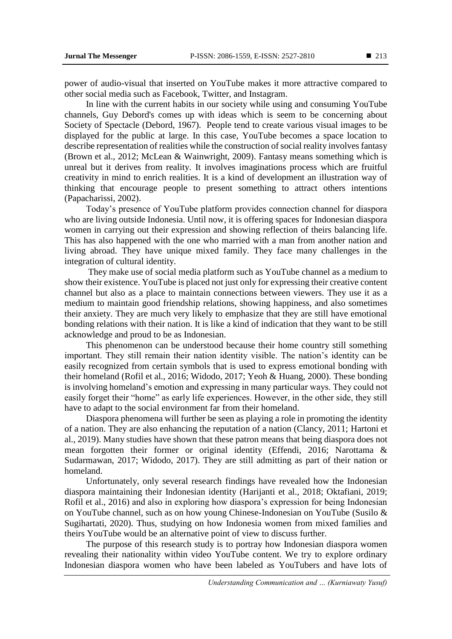power of audio-visual that inserted on YouTube makes it more attractive compared to other social media such as Facebook, Twitter, and Instagram.

In line with the current habits in our society while using and consuming YouTube channels, Guy Debord's comes up with ideas which is seem to be concerning about Society of Spectacle (Debord, 1967). People tend to create various visual images to be displayed for the public at large. In this case, YouTube becomes a space location to describe representation of realities while the construction of social reality involves fantasy (Brown et al., 2012; McLean & Wainwright, 2009). Fantasy means something which is unreal but it derives from reality. It involves imaginations process which are fruitful creativity in mind to enrich realities. It is a kind of development an illustration way of thinking that encourage people to present something to attract others intentions (Papacharissi, 2002).

Today's presence of YouTube platform provides connection channel for diaspora who are living outside Indonesia. Until now, it is offering spaces for Indonesian diaspora women in carrying out their expression and showing reflection of theirs balancing life. This has also happened with the one who married with a man from another nation and living abroad. They have unique mixed family. They face many challenges in the integration of cultural identity.

They make use of social media platform such as YouTube channel as a medium to show their existence. YouTube is placed not just only for expressing their creative content channel but also as a place to maintain connections between viewers. They use it as a medium to maintain good friendship relations, showing happiness, and also sometimes their anxiety. They are much very likely to emphasize that they are still have emotional bonding relations with their nation. It is like a kind of indication that they want to be still acknowledge and proud to be as Indonesian.

This phenomenon can be understood because their home country still something important. They still remain their nation identity visible. The nation's identity can be easily recognized from certain symbols that is used to express emotional bonding with their homeland (Rofil et al., 2016; Widodo, 2017; Yeoh & Huang, 2000). These bonding is involving homeland's emotion and expressing in many particular ways. They could not easily forget their "home" as early life experiences. However, in the other side, they still have to adapt to the social environment far from their homeland.

Diaspora phenomena will further be seen as playing a role in promoting the identity of a nation. They are also enhancing the reputation of a nation (Clancy, 2011; Hartoni et al., 2019). Many studies have shown that these patron means that being diaspora does not mean forgotten their former or original identity (Effendi, 2016; Narottama & Sudarmawan, 2017; Widodo, 2017). They are still admitting as part of their nation or homeland.

Unfortunately, only several research findings have revealed how the Indonesian diaspora maintaining their Indonesian identity (Harijanti et al., 2018; Oktafiani, 2019; Rofil et al., 2016) and also in exploring how diaspora's expression for being Indonesian on YouTube channel, such as on how young Chinese-Indonesian on YouTube (Susilo & Sugihartati, 2020). Thus, studying on how Indonesia women from mixed families and theirs YouTube would be an alternative point of view to discuss further.

The purpose of this research study is to portray how Indonesian diaspora women revealing their nationality within video YouTube content. We try to explore ordinary Indonesian diaspora women who have been labeled as YouTubers and have lots of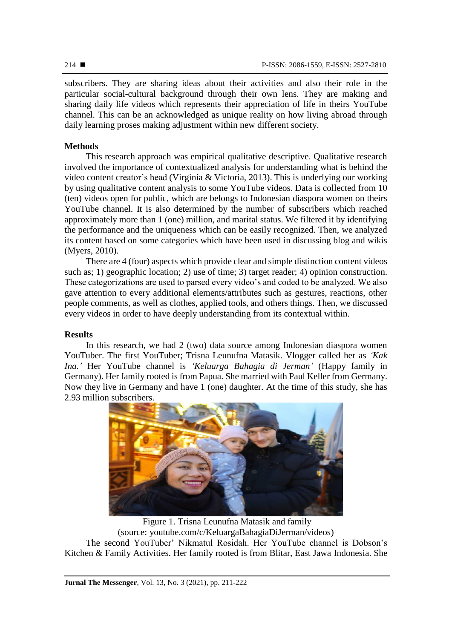subscribers. They are sharing ideas about their activities and also their role in the particular social-cultural background through their own lens. They are making and sharing daily life videos which represents their appreciation of life in theirs YouTube channel. This can be an acknowledged as unique reality on how living abroad through daily learning proses making adjustment within new different society.

# **Methods**

This research approach was empirical qualitative descriptive. Qualitative research involved the importance of contextualized analysis for understanding what is behind the video content creator's head (Virginia & Victoria, 2013). This is underlying our working by using qualitative content analysis to some YouTube videos. Data is collected from 10 (ten) videos open for public, which are belongs to Indonesian diaspora women on theirs YouTube channel. It is also determined by the number of subscribers which reached approximately more than 1 (one) million, and marital status. We filtered it by identifying the performance and the uniqueness which can be easily recognized. Then, we analyzed its content based on some categories which have been used in discussing blog and wikis (Myers, 2010).

There are 4 (four) aspects which provide clear and simple distinction content videos such as; 1) geographic location; 2) use of time; 3) target reader; 4) opinion construction. These categorizations are used to parsed every video's and coded to be analyzed. We also gave attention to every additional elements/attributes such as gestures, reactions, other people comments, as well as clothes, applied tools, and others things. Then, we discussed every videos in order to have deeply understanding from its contextual within.

# **Results**

In this research, we had 2 (two) data source among Indonesian diaspora women YouTuber. The first YouTuber; Trisna Leunufna Matasik. Vlogger called her as *'Kak Ina.'* Her YouTube channel is *'Keluarga Bahagia di Jerman'* (Happy family in Germany). Her family rooted is from Papua. She married with Paul Keller from Germany. Now they live in Germany and have 1 (one) daughter. At the time of this study, she has 2.93 million subscribers.



Figure 1. Trisna Leunufna Matasik and family (source: [youtube.com/c/KeluargaBahagiaDiJerman/videos\)](https://www.youtube.com/c/KeluargaBahagiaDiJerman/videos) The second YouTuber' Nikmatul Rosidah. Her YouTube channel is Dobson's Kitchen & Family Activities. Her family rooted is from Blitar, East Jawa Indonesia. She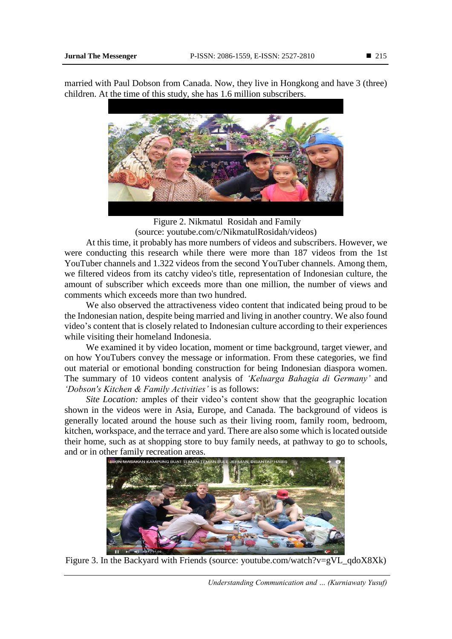married with Paul Dobson from Canada. Now, they live in Hongkong and have 3 (three) children. At the time of this study, she has 1.6 million subscribers.



Figure 2. Nikmatul Rosidah and Family (source: [youtube.com/c/NikmatulRosidah/videos\)](https://www.youtube.com/c/NikmatulRosidah/videos)

At this time, it probably has more numbers of videos and subscribers. However, we were conducting this research while there were more than 187 videos from the 1st YouTuber channels and 1.322 videos from the second YouTuber channels. Among them, we filtered videos from its catchy video's title, representation of Indonesian culture, the amount of subscriber which exceeds more than one million, the number of views and comments which exceeds more than two hundred.

We also observed the attractiveness video content that indicated being proud to be the Indonesian nation, despite being married and living in another country. We also found video's content that is closely related to Indonesian culture according to their experiences while visiting their homeland Indonesia.

We examined it by video location, moment or time background, target viewer, and on how YouTubers convey the message or information. From these categories, we find out material or emotional bonding construction for being Indonesian diaspora women. The summary of 10 videos content analysis of *'Keluarga Bahagia di Germany'* and *'Dobson's Kitchen & Family Activities'* is as follows:

*Site Location:* amples of their video's content show that the geographic location shown in the videos were in Asia, Europe, and Canada. The background of videos is generally located around the house such as their living room, family room, bedroom, kitchen, workspace, and the terrace and yard. There are also some which is located outside their home, such as at shopping store to buy family needs, at pathway to go to schools, and or in other family recreation areas.



Figure 3. In the Backyard with Friends (source: [youtube.com/watch?v=gVL\\_qdoX8Xk\)](https://www.youtube.com/watch?v=gVL_qdoX8Xk)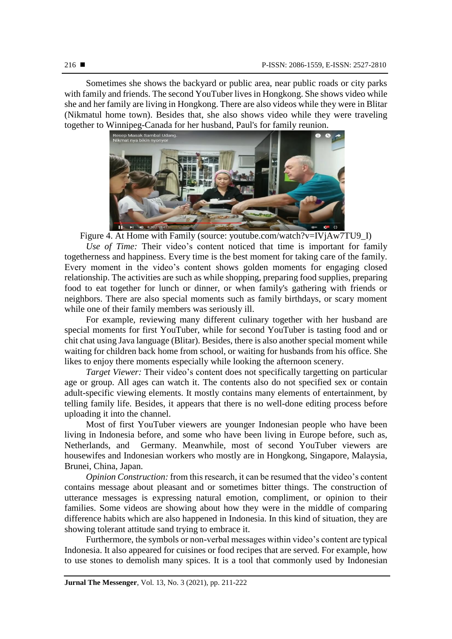Sometimes she shows the backyard or public area, near public roads or city parks with family and friends. The second YouTuber lives in Hongkong. She shows video while she and her family are living in Hongkong. There are also videos while they were in Blitar (Nikmatul home town). Besides that, she also shows video while they were traveling



Figure 4. At Home with Family (source: youtube.com/watch?v=IVjAw7TU9\_I)

*Use of Time:* Their video's content noticed that time is important for family togetherness and happiness. Every time is the best moment for taking care of the family. Every moment in the video's content shows golden moments for engaging closed relationship. The activities are such as while shopping, preparing food supplies, preparing food to eat together for lunch or dinner, or when family's gathering with friends or neighbors. There are also special moments such as family birthdays, or scary moment while one of their family members was seriously ill.

For example, reviewing many different culinary together with her husband are special moments for first YouTuber, while for second YouTuber is tasting food and or chit chat using Java language (Blitar). Besides, there is also another special moment while waiting for children back home from school, or waiting for husbands from his office. She likes to enjoy there moments especially while looking the afternoon scenery.

*Target Viewer:* Their video's content does not specifically targetting on particular age or group. All ages can watch it. The contents also do not specified sex or contain adult-specific viewing elements. It mostly contains many elements of entertainment, by telling family life. Besides, it appears that there is no well-done editing process before uploading it into the channel.

Most of first YouTuber viewers are younger Indonesian people who have been living in Indonesia before, and some who have been living in Europe before, such as, Netherlands, and Germany. Meanwhile, most of second YouTuber viewers are housewifes and Indonesian workers who mostly are in Hongkong, Singapore, Malaysia, Brunei, China, Japan.

*Opinion Construction:* from this research, it can be resumed that the video's content contains message about pleasant and or sometimes bitter things. The construction of utterance messages is expressing natural emotion, compliment, or opinion to their families. Some videos are showing about how they were in the middle of comparing difference habits which are also happened in Indonesia. In this kind of situation, they are showing tolerant attitude sand trying to embrace it.

Furthermore, the symbols or non-verbal messages within video's content are typical Indonesia. It also appeared for cuisines or food recipes that are served. For example, how to use stones to demolish many spices. It is a tool that commonly used by Indonesian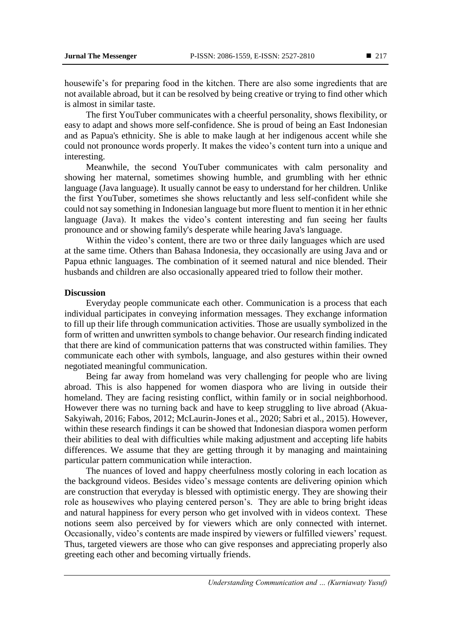housewife's for preparing food in the kitchen. There are also some ingredients that are not available abroad, but it can be resolved by being creative or trying to find other which is almost in similar taste.

The first YouTuber communicates with a cheerful personality, shows flexibility, or easy to adapt and shows more self-confidence. She is proud of being an East Indonesian and as Papua's ethnicity. She is able to make laugh at her indigenous accent while she could not pronounce words properly. It makes the video's content turn into a unique and interesting.

Meanwhile, the second YouTuber communicates with calm personality and showing her maternal, sometimes showing humble, and grumbling with her ethnic language (Java language). It usually cannot be easy to understand for her children. Unlike the first YouTuber, sometimes she shows reluctantly and less self-confident while she could not say something in Indonesian language but more fluent to mention it in her ethnic language (Java). It makes the video's content interesting and fun seeing her faults pronounce and or showing family's desperate while hearing Java's language.

Within the video's content, there are two or three daily languages which are used at the same time. Others than Bahasa Indonesia, they occasionally are using Java and or Papua ethnic languages. The combination of it seemed natural and nice blended. Their husbands and children are also occasionally appeared tried to follow their mother.

#### **Discussion**

Everyday people communicate each other. Communication is a process that each individual participates in conveying information messages. They exchange information to fill up their life through communication activities. Those are usually symbolized in the form of written and unwritten symbols to change behavior. Our research finding indicated that there are kind of communication patterns that was constructed within families. They communicate each other with symbols, language, and also gestures within their owned negotiated meaningful communication.

Being far away from homeland was very challenging for people who are living abroad. This is also happened for women diaspora who are living in outside their homeland. They are facing resisting conflict, within family or in social neighborhood. However there was no turning back and have to keep struggling to live abroad (Akua-Sakyiwah, 2016; Fabos, 2012; McLaurin-Jones et al., 2020; Sabri et al., 2015). However, within these research findings it can be showed that Indonesian diaspora women perform their abilities to deal with difficulties while making adjustment and accepting life habits differences. We assume that they are getting through it by managing and maintaining particular pattern communication while interaction.

The nuances of loved and happy cheerfulness mostly coloring in each location as the background videos. Besides video's message contents are delivering opinion which are construction that everyday is blessed with optimistic energy. They are showing their role as housewives who playing centered person's. They are able to bring bright ideas and natural happiness for every person who get involved with in videos context. These notions seem also perceived by for viewers which are only connected with internet. Occasionally, video's contents are made inspired by viewers or fulfilled viewers' request. Thus, targeted viewers are those who can give responses and appreciating properly also greeting each other and becoming virtually friends.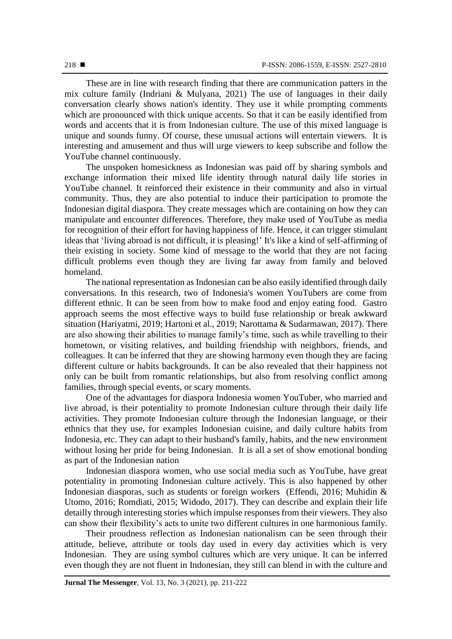These are in line with research finding that there are communication patters in the mix culture family (Indriani & Mulyana, 2021) The use of languages in their daily conversation clearly shows nation's identity. They use it while prompting comments which are pronounced with thick unique accents. So that it can be easily identified from words and accents that it is from Indonesian culture. The use of this mixed language is unique and sounds funny. Of course, these unusual actions will entertain viewers. It is interesting and amusement and thus will urge viewers to keep subscribe and follow the YouTube channel continuously.

The unspoken homesickness as Indonesian was paid off by sharing symbols and exchange information their mixed life identity through natural daily life stories in YouTube channel. It reinforced their existence in their community and also in virtual community. Thus, they are also potential to induce their participation to promote the Indonesian digital diaspora. They create messages which are containing on how they can manipulate and encounter differences. Therefore, they make used of YouTube as media for recognition of their effort for having happiness of life. Hence, it can trigger stimulant ideas that 'living abroad is not difficult, it is pleasing!' It's like a kind of self-affirming of their existing in society. Some kind of message to the world that they are not facing difficult problems even though they are living far away from family and beloved homeland.

The national representation as Indonesian can be also easily identified through daily conversations. In this research, two of Indonesia's women YouTubers are come from different ethnic. It can be seen from how to make food and enjoy eating food. Gastro approach seems the most effective ways to build fuse relationship or break awkward situation (Hariyatmi, 2019; Hartoni et al., 2019; Narottama & Sudarmawan, 2017). There are also showing their abilities to manage family's time, such as while travelling to their hometown, or visiting relatives, and building friendship with neighbors, friends, and colleagues. It can be inferred that they are showing harmony even though they are facing different culture or habits backgrounds. It can be also revealed that their happiness not only can be built from romantic relationships, but also from resolving conflict among families, through special events, or scary moments.

One of the advantages for diaspora Indonesia women YouTuber, who married and live abroad, is their potentiality to promote Indonesian culture through their daily life activities. They promote Indonesian culture through the Indonesian language, or their ethnics that they use, for examples Indonesian cuisine, and daily culture habits from Indonesia, etc. They can adapt to their husband's family, habits, and the new environment without losing her pride for being Indonesian. It is all a set of show emotional bonding as part of the Indonesian nation

Indonesian diaspora women, who use social media such as YouTube, have great potentiality in promoting Indonesian culture actively. This is also happened by other Indonesian diasporas, such as students or foreign workers (Effendi, 2016; Muhidin & Utomo, 2016; Romdiati, 2015; Widodo, 2017). They can describe and explain their life detailly through interesting stories which impulse responses from their viewers. They also can show their flexibility's acts to unite two different cultures in one harmonious family.

Their proudness reflection as Indonesian nationalism can be seen through their attitude, believe, attribute or tools day used in every day activities which is very Indonesian. They are using symbol cultures which are very unique. It can be inferred even though they are not fluent in Indonesian, they still can blend in with the culture and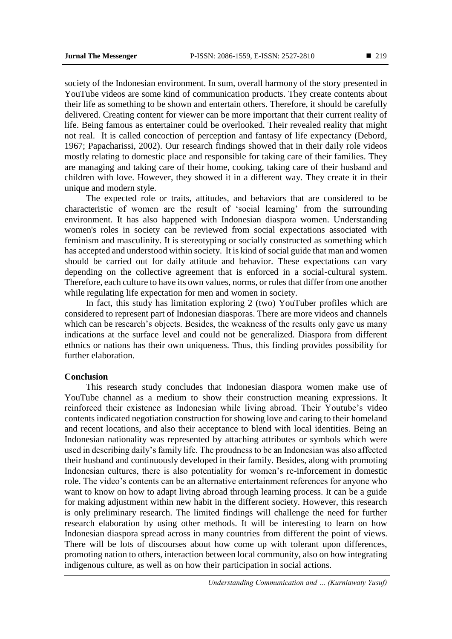society of the Indonesian environment. In sum, overall harmony of the story presented in YouTube videos are some kind of communication products. They create contents about their life as something to be shown and entertain others. Therefore, it should be carefully delivered. Creating content for viewer can be more important that their current reality of life. Being famous as entertainer could be overlooked. Their revealed reality that might not real. It is called concoction of perception and fantasy of life expectancy (Debord, 1967; Papacharissi, 2002). Our research findings showed that in their daily role videos mostly relating to domestic place and responsible for taking care of their families. They are managing and taking care of their home, cooking, taking care of their husband and children with love. However, they showed it in a different way. They create it in their unique and modern style.

The expected role or traits, attitudes, and behaviors that are considered to be characteristic of women are the result of 'social learning' from the surrounding environment. It has also happened with Indonesian diaspora women. Understanding women's roles in society can be reviewed from social expectations associated with feminism and masculinity. It is stereotyping or socially constructed as something which has accepted and understood within society. It is kind of social guide that man and women should be carried out for daily attitude and behavior. These expectations can vary depending on the collective agreement that is enforced in a social-cultural system. Therefore, each culture to have its own values, norms, or rules that differ from one another while regulating life expectation for men and women in society.

In fact, this study has limitation exploring 2 (two) YouTuber profiles which are considered to represent part of Indonesian diasporas. There are more videos and channels which can be research's objects. Besides, the weakness of the results only gave us many indications at the surface level and could not be generalized. Diaspora from different ethnics or nations has their own uniqueness. Thus, this finding provides possibility for further elaboration.

#### **Conclusion**

This research study concludes that Indonesian diaspora women make use of YouTube channel as a medium to show their construction meaning expressions. It reinforced their existence as Indonesian while living abroad. Their Youtube's video contents indicated negotiation construction for showing love and caring to their homeland and recent locations, and also their acceptance to blend with local identities. Being an Indonesian nationality was represented by attaching attributes or symbols which were used in describing daily's family life. The proudness to be an Indonesian was also affected their husband and continuously developed in their family. Besides, along with promoting Indonesian cultures, there is also potentiality for women's re-inforcement in domestic role. The video's contents can be an alternative entertainment references for anyone who want to know on how to adapt living abroad through learning process. It can be a guide for making adjustment within new habit in the different society. However, this research is only preliminary research. The limited findings will challenge the need for further research elaboration by using other methods. It will be interesting to learn on how Indonesian diaspora spread across in many countries from different the point of views. There will be lots of discourses about how come up with tolerant upon differences, promoting nation to others, interaction between local community, also on how integrating indigenous culture, as well as on how their participation in social actions.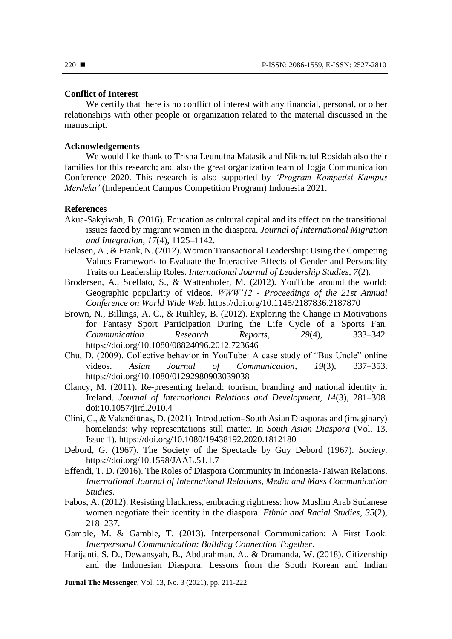### **Conflict of Interest**

We certify that there is no conflict of interest with any financial, personal, or other relationships with other people or organization related to the material discussed in the manuscript.

### **Acknowledgements**

We would like thank to Trisna Leunufna Matasik and Nikmatul Rosidah also their families for this research; and also the great organization team of Jogja Communication Conference 2020. This research is also supported by *'Program Kompetisi Kampus Merdeka'* (Independent Campus Competition Program) Indonesia 2021.

### **References**

- Akua-Sakyiwah, B. (2016). Education as cultural capital and its effect on the transitional issues faced by migrant women in the diaspora. *Journal of International Migration and Integration*, *17*(4), 1125–1142.
- Belasen, A., & Frank, N. (2012). Women Transactional Leadership: Using the Competing Values Framework to Evaluate the Interactive Effects of Gender and Personality Traits on Leadership Roles. *International Journal of Leadership Studies*, *7*(2).
- Brodersen, A., Scellato, S., & Wattenhofer, M. (2012). YouTube around the world: Geographic popularity of videos. *WWW'12 - Proceedings of the 21st Annual Conference on World Wide Web*. https://doi.org/10.1145/2187836.2187870
- Brown, N., Billings, A. C., & Ruihley, B. (2012). Exploring the Change in Motivations for Fantasy Sport Participation During the Life Cycle of a Sports Fan. *Communication Research Reports*, *29*(4), 333–342. https://doi.org/10.1080/08824096.2012.723646
- Chu, D. (2009). Collective behavior in YouTube: A case study of "Bus Uncle" online videos. *Asian Journal of Communication*, *19*(3), 337–353. https://doi.org/10.1080/01292980903039038
- Clancy, M. (2011). Re-presenting Ireland: tourism, branding and national identity in Ireland. *Journal of International Relations and Development, 14*(3), 281–308. doi:10.1057/jird.2010.4
- Clini, C., & Valančiūnas, D. (2021). Introduction–South Asian Diasporas and (imaginary) homelands: why representations still matter. In *South Asian Diaspora* (Vol. 13, Issue 1). https://doi.org/10.1080/19438192.2020.1812180
- Debord, G. (1967). The Society of the Spectacle by Guy Debord (1967). *Society*. https://doi.org/10.1598/JAAL.51.1.7
- Effendi, T. D. (2016). The Roles of Diaspora Community in Indonesia-Taiwan Relations. *International Journal of International Relations, Media and Mass Communication Studies*.
- Fabos, A. (2012). Resisting blackness, embracing rightness: how Muslim Arab Sudanese women negotiate their identity in the diaspora. *Ethnic and Racial Studies*, *35*(2), 218–237.
- Gamble, M. & Gamble, T. (2013). Interpersonal Communication: A First Look. *Interpersonal Communication: Building Connection Together*.
- Harijanti, S. D., Dewansyah, B., Abdurahman, A., & Dramanda, W. (2018). Citizenship and the Indonesian Diaspora: Lessons from the South Korean and Indian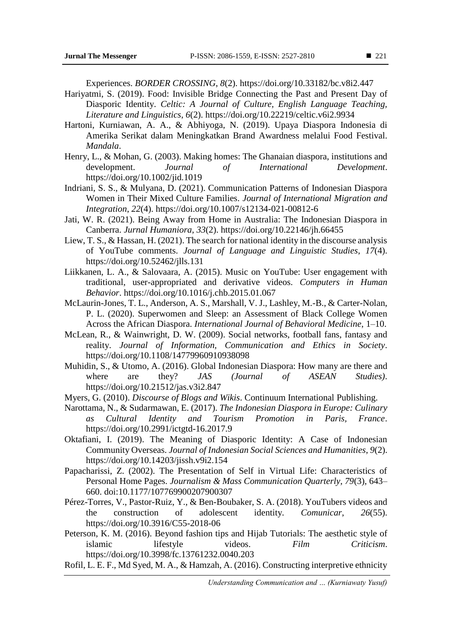Experiences. *BORDER CROSSING*, *8*(2). https://doi.org/10.33182/bc.v8i2.447

- Hariyatmi, S. (2019). Food: Invisible Bridge Connecting the Past and Present Day of Diasporic Identity. *Celtic: A Journal of Culture, English Language Teaching, Literature and Linguistics*, *6*(2). https://doi.org/10.22219/celtic.v6i2.9934
- Hartoni, Kurniawan, A. A., & Abhiyoga, N. (2019). Upaya Diaspora Indonesia di Amerika Serikat dalam Meningkatkan Brand Awardness melalui Food Festival. *Mandala*.
- Henry, L., & Mohan, G. (2003). Making homes: The Ghanaian diaspora, institutions and development. *Journal of International Development*. https://doi.org/10.1002/jid.1019
- Indriani, S. S., & Mulyana, D. (2021). Communication Patterns of Indonesian Diaspora Women in Their Mixed Culture Families. *Journal of International Migration and Integration*, *22*(4). https://doi.org/10.1007/s12134-021-00812-6
- Jati, W. R. (2021). Being Away from Home in Australia: The Indonesian Diaspora in Canberra. *Jurnal Humaniora*, *33*(2). https://doi.org/10.22146/jh.66455
- Liew, T. S., & Hassan, H. (2021). The search for national identity in the discourse analysis of YouTube comments. *Journal of Language and Linguistic Studies*, *17*(4). https://doi.org/10.52462/jlls.131
- Liikkanen, L. A., & Salovaara, A. (2015). Music on YouTube: User engagement with traditional, user-appropriated and derivative videos. *Computers in Human Behavior*. https://doi.org/10.1016/j.chb.2015.01.067
- McLaurin-Jones, T. L., Anderson, A. S., Marshall, V. J., Lashley, M.-B., & Carter-Nolan, P. L. (2020). Superwomen and Sleep: an Assessment of Black College Women Across the African Diaspora. *International Journal of Behavioral Medicine*, 1–10.
- McLean, R., & Wainwright, D. W. (2009). Social networks, football fans, fantasy and reality. *Journal of Information, Communication and Ethics in Society*. https://doi.org/10.1108/14779960910938098
- Muhidin, S., & Utomo, A. (2016). Global Indonesian Diaspora: How many are there and where are they? *JAS (Journal of ASEAN Studies)*. https://doi.org/10.21512/jas.v3i2.847
- Myers, G. (2010). *Discourse of Blogs and Wikis*. Continuum International Publishing.
- Narottama, N., & Sudarmawan, E. (2017). *The Indonesian Diaspora in Europe: Culinary as Cultural Identity and Tourism Promotion in Paris, France*. https://doi.org/10.2991/ictgtd-16.2017.9
- Oktafiani, I. (2019). The Meaning of Diasporic Identity: A Case of Indonesian Community Overseas. *Journal of Indonesian Social Sciences and Humanities*, *9*(2). https://doi.org/10.14203/jissh.v9i2.154
- Papacharissi, Z. (2002). The Presentation of Self in Virtual Life: Characteristics of Personal Home Pages. *Journalism & Mass Communication Quarterly, 79*(3), 643– 660. doi:10.1177/107769900207900307
- Pérez-Torres, V., Pastor-Ruiz, Y., & Ben-Boubaker, S. A. (2018). YouTubers videos and the construction of adolescent identity. *Comunicar*, *26*(55). https://doi.org/10.3916/C55-2018-06
- Peterson, K. M. (2016). Beyond fashion tips and Hijab Tutorials: The aesthetic style of islamic lifestyle videos. *Film Criticism*. https://doi.org/10.3998/fc.13761232.0040.203
- Rofil, L. E. F., Md Syed, M. A., & Hamzah, A. (2016). Constructing interpretive ethnicity